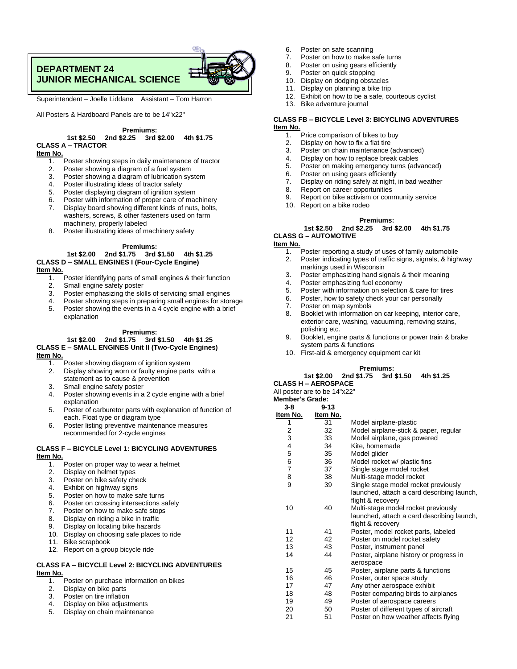# **DEPARTMENT 24 JUNIOR MECHANICAL SCIENCE**



Superintendent – Joelle Liddane Assistant – Tom Harron

All Posters & Hardboard Panels are to be 14"x22"

## **Premiums:**

**1st \$2.50 2nd \$2.25 3rd \$2.00 4th \$1.75 CLASS A – TRACTOR**

#### **Item No.**

- 1. Poster showing steps in daily maintenance of tractor<br>2. Poster showing a diagram of a fuel system
- Poster showing a diagram of a fuel system
- 3. Poster showing a diagram of lubrication system
- 4. Poster illustrating ideas of tractor safety
- 5. Poster displaying diagram of ignition system
- 6. Poster with information of proper care of machinery
- 7. Display board showing different kinds of nuts, bolts, washers, screws, & other fasteners used on farm machinery, properly labeled
- 8. Poster illustrating ideas of machinery safety

#### **Premiums:**

# **1st \$2.00 2nd \$1.75 3rd \$1.50 4th \$1.25 CLASS D – SMALL ENGINES I (Four-Cycle Engine)**

- **Item No.**
	- 1. Poster identifying parts of small engines & their function<br>2. Small engine safety poster Small engine safety poster
	-
	- 3. Poster emphasizing the skills of servicing small engines
	- 4. Poster showing steps in preparing small engines for storage
	- 5. Poster showing the events in a 4 cycle engine with a brief explanation

#### **Premiums:**

#### **1st \$2.00 2nd \$1.75 3rd \$1.50 4th \$1.25 CLASS E – SMALL ENGINES Unit II (Two-Cycle Engines) Item No.**

- 1. Poster showing diagram of ignition system<br>2. Display showing worn or faulty engine part
- Display showing worn or faulty engine parts with a statement as to cause & prevention
- 3. Small engine safety poster
- 4. Poster showing events in a 2 cycle engine with a brief explanation
- 5. Poster of carburetor parts with explanation of function of each. Float type or diagram type
- 6. Poster listing preventive maintenance measures recommended for 2-cycle engines

## **CLASS F – BICYCLE Level 1: BICYCLING ADVENTURES Item No.**

- 1. Poster on proper way to wear a helmet 2. Display on helmet types 3. Poster on bike safety check 4. Exhibit on highway signs 5. Poster on how to make safe turns 6. Poster on crossing intersections safely 7. Poster on how to make safe stops 8. Display on riding a bike in traffic<br>9. Display on locating bike hazards Display on locating bike hazards 10. Display on choosing safe places to ride 11. Bike scrapbook 12. Report on a group bicycle ride **CLASS FA – BICYCLE Level 2: BICYCLING ADVENTURES Item No.** Poster on purchase information on bikes 2. Display on bike parts
	- 3. Poster on tire inflation 4. Display on bike adjustments
	- 5. Display on chain maintenance
- 6. Poster on safe scanning<br>7. Poster on how to make s
- 7. Poster on how to make safe turns<br>8. Poster on using gears efficiently
- Poster on using gears efficiently
- 9. Poster on quick stopping
- 10. Display on dodging obstacles<br>11 Display on planning a bike trin
- 11. Display on planning a bike trip<br>12. Exhibit on how to be a safe, co
- Exhibit on how to be a safe, courteous cyclist
- 13. Bike adventure journal

#### **CLASS FB – BICYCLE Level 3: BICYCLING ADVENTURES Item No.**

- $\overline{1.}$  Price comparison of bikes to buy<br>2. Display on how to fix a flat tire
- 2. Display on how to fix a flat tire<br>3. Poster on chain maintenance
- Poster on chain maintenance (advanced)
- 4. Display on how to replace break cables<br>5. Poster on making emergency turns (adv
- 5. Poster on making emergency turns (advanced)<br>6. Poster on using gears efficiently
- 
- 6. Poster on using gears efficiently<br>7. Display on riding safely at night,
- 7. Display on riding safely at night, in bad weather Report on career opportunities
- 9. Report on bike activism or community service<br>10. Report on a bike rodeo
	- Report on a bike rodeo

#### **Premiums:**

**1st \$2.50 2nd \$2.25 3rd \$2.00 4th \$1.75 CLASS G – AUTOMOTIVE**

## **Item No.**

- 1. Poster reporting a study of uses of family automobile<br>2. Poster indicating types of traffic signs, signals, & high Poster indicating types of traffic signs, signals, & highway markings used in Wisconsin
- 3. Poster emphasizing hand signals & their meaning
- 
- 4. Poster emphasizing fuel economy<br>5. Poster with information on selection 5. Poster with information on selection & care for tires
- 6. Poster, how to safety check your car personally<br>7. Poster on map symbols
- Poster on map symbols
- 8. Booklet with information on car keeping, interior care, exterior care, washing, vacuuming, removing stains, polishing etc.
- 9. Booklet, engine parts & functions or power train & brake system parts & functions
- 10. First-aid & emergency equipment car kit

# **Premiums:**

## **1st \$2.00 2nd \$1.75 3rd \$1.50 4th \$1.25**

**CLASS H – AEROSPACE**

All poster are to be 14"x22"

| <b>Member's Grade:</b>  |          |                                            |
|-------------------------|----------|--------------------------------------------|
| $3 - 8$                 | $9 - 13$ |                                            |
| Item No.                | Item No. |                                            |
| 1                       | 31       | Model airplane-plastic                     |
| $\overline{\mathbf{c}}$ | 32       | Model airplane-stick & paper, regular      |
| 3                       | 33       | Model airplane, gas powered                |
| 4                       | 34       | Kite, homemade                             |
| 5                       | 35       | Model glider                               |
| 6                       | 36       | Model rocket w/ plastic fins               |
| $\overline{7}$          | 37       | Single stage model rocket                  |
| 8                       | 38       | Multi-stage model rocket                   |
| 9                       | 39       | Single stage model rocket previously       |
|                         |          | launched, attach a card describing launch, |
|                         |          | flight & recovery                          |
| 10                      | 40       | Multi-stage model rocket previously        |
|                         |          | launched, attach a card describing launch, |
|                         |          | flight & recovery                          |
| 11                      | 41       | Poster, model rocket parts, labeled        |
| 12                      | 42       | Poster on model rocket safety              |
| 13                      | 43       | Poster, instrument panel                   |
| 14                      | 44       | Poster, airplane history or progress in    |
|                         |          | aerospace                                  |
| 15                      | 45       | Poster, airplane parts & functions         |
| 16                      | 46       | Poster, outer space study                  |
| 17                      | 47       | Any other aerospace exhibit                |
| 18                      | 48       | Poster comparing birds to airplanes        |
| 19                      | 49       | Poster of aerospace careers                |
| 20                      | 50       | Poster of different types of aircraft      |
| 21                      | 51       | Poster on how weather affects flying       |